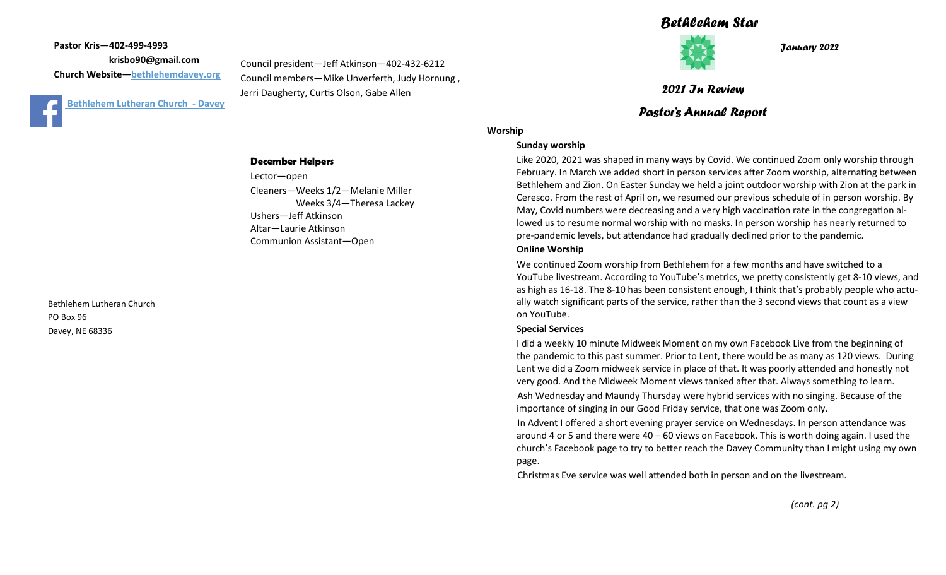**Pastor Kris—402-499-4993 krisbo90@gmail.com Church Website—<bethlehemdavey.org>**



Council president—Jeff Atkinson—402-432-6212 Council members—Mike Unverferth, Judy Hornung , Jerri Daugherty, Curtis Olson, Gabe Allen

#### **December Helpers**

Lector—open Cleaners—Weeks 1/2—Melanie Miller Weeks 3/4—Theresa Lackey Ushers—Jeff Atkinson Altar—Laurie Atkinson Communion Assistant—Open

Bethlehem Lutheran Church PO Box 96 Davey, NE 68336

# *Bethlehem Star*



*January 2022*

## *2021 In Review*

## *Pastor's Annual Report*

## **Worship**

#### **Sunday worship**

Like 2020, 2021 was shaped in many ways by Covid. We continued Zoom only worship through February. In March we added short in person services after Zoom worship, alternating between Bethlehem and Zion. On Easter Sunday we held a joint outdoor worship with Zion at the park in Ceresco. From the rest of April on, we resumed our previous schedule of in person worship. By May, Covid numbers were decreasing and a very high vaccination rate in the congregation allowed us to resume normal worship with no masks. In person worship has nearly returned to pre-pandemic levels, but attendance had gradually declined prior to the pandemic.

#### **Online Worship**

We continued Zoom worship from Bethlehem for a few months and have switched to a YouTube livestream. According to YouTube's metrics, we pretty consistently get 8-10 views, and as high as 16-18. The 8-10 has been consistent enough, I think that's probably people who actually watch significant parts of the service, rather than the 3 second views that count as a view on YouTube.

#### **Special Services**

I did a weekly 10 minute Midweek Moment on my own Facebook Live from the beginning of the pandemic to this past summer. Prior to Lent, there would be as many as 120 views. During Lent we did a Zoom midweek service in place of that. It was poorly attended and honestly not very good. And the Midweek Moment views tanked after that. Always something to learn.

Ash Wednesday and Maundy Thursday were hybrid services with no singing. Because of the importance of singing in our Good Friday service, that one was Zoom only.

In Advent I offered a short evening prayer service on Wednesdays. In person attendance was around 4 or 5 and there were 40 – 60 views on Facebook. This is worth doing again. I used the church's Facebook page to try to better reach the Davey Community than I might using my own page.

Christmas Eve service was well attended both in person and on the livestream.